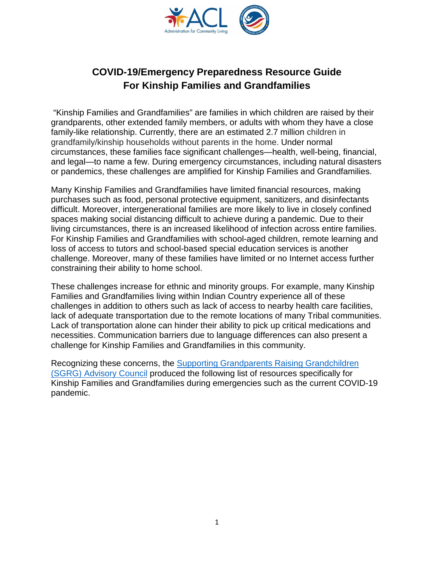

# **COVID-19/Emergency Preparedness Resource Guide For Kinship Families and Grandfamilies**

"Kinship Families and Grandfamilies" are families in which children are raised by their grandparents, other extended family members, or adults with whom they have a close family-like relationship. Currently, there are an estimated 2.7 million children in grandfamily/kinship households without parents in the home. Under normal circumstances, these families face significant challenges—health, well-being, financial, and legal—to name a few. During emergency circumstances, including natural disasters or pandemics, these challenges are amplified for Kinship Families and Grandfamilies.

Many Kinship Families and Grandfamilies have limited financial resources, making purchases such as food, personal protective equipment, sanitizers, and disinfectants difficult. Moreover, intergenerational families are more likely to live in closely confined spaces making social distancing difficult to achieve during a pandemic. Due to their living circumstances, there is an increased likelihood of infection across entire families. For Kinship Families and Grandfamilies with school-aged children, remote learning and loss of access to tutors and school-based special education services is another challenge. Moreover, many of these families have limited or no Internet access further constraining their ability to home school.

These challenges increase for ethnic and minority groups. For example, many Kinship Families and Grandfamilies living within Indian Country experience all of these challenges in addition to others such as lack of access to nearby health care facilities, lack of adequate transportation due to the remote locations of many Tribal communities. Lack of transportation alone can hinder their ability to pick up critical medications and necessities. Communication barriers due to language differences can also present a challenge for Kinship Families and Grandfamilies in this community.

Recognizing these concerns, the Supporting Grandparents Raising Grandchildren (SGRG) Advisory Council produced the following list of resources specifically for Kinship Families and Grandfamilies during emergencies such as the current COVID-19 pandemic.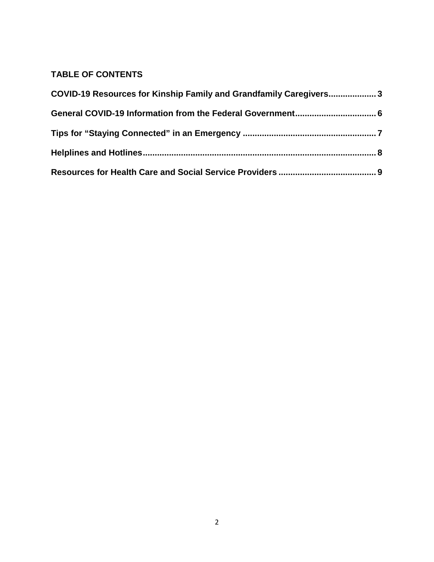# **TABLE OF CONTENTS**

| COVID-19 Resources for Kinship Family and Grandfamily Caregivers3 |  |  |
|-------------------------------------------------------------------|--|--|
|                                                                   |  |  |
|                                                                   |  |  |
|                                                                   |  |  |
|                                                                   |  |  |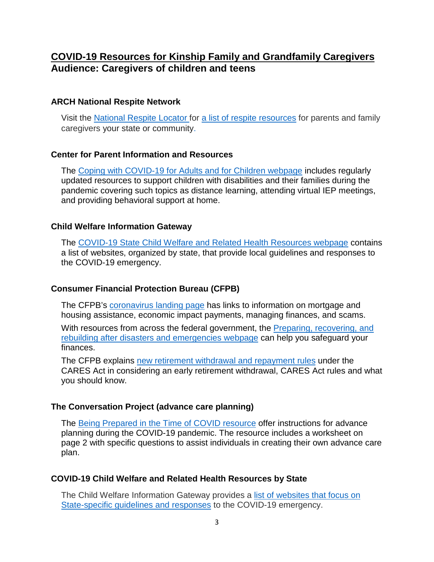# **COVID-19 Resources for Kinship Family and Grandfamily Caregivers Audience: Caregivers of children and teens**

## **ARCH National Respite Network**

Visit the National Respite Locator for a list of respite resources for parents and family caregivers your state or community.

### **Center for Parent Information and Resources**

The Coping with COVID-19 for Adults and for Children webpage includes regularly updated resources to support children with disabilities and their families during the pandemic covering such topics as distance learning, attending virtual IEP meetings, and providing behavioral support at home.

### **Child Welfare Information Gateway**

The COVID-19 State Child Welfare and Related Health Resources webpage contains a list of websites, organized by state, that provide local guidelines and responses to the COVID-19 emergency.

# **Consumer Financial Protection Bureau (CFPB)**

The CFPB's coronavirus landing page has links to information on mortgage and housing assistance, economic impact payments, managing finances, and scams.

With resources from across the federal government, the Preparing, recovering, and rebuilding after disasters and emergencies webpage can help you safeguard your finances.

The CFPB explains new retirement withdrawal and repayment rules under the CARES Act in considering an early retirement withdrawal, CARES Act rules and what you should know.

### **The Conversation Project (advance care planning)**

The Being Prepared in the Time of COVID resource offer instructions for advance planning during the COVID-19 pandemic. The resource includes a worksheet on page 2 with specific questions to assist individuals in creating their own advance care plan.

# **COVID-19 Child Welfare and Related Health Resources by State**

The Child Welfare Information Gateway provides a list of websites that focus on State-specific guidelines and responses to the COVID-19 emergency.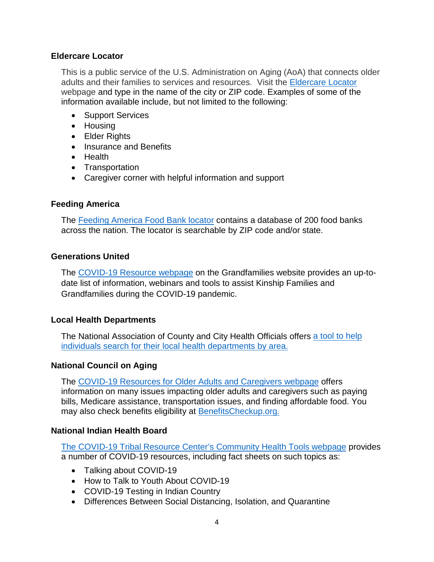#### **Eldercare Locator**

This is a public service of the U.S. Administration on Aging (AoA) that connects older adults and their families to services and resources. Visit the Eldercare Locator webpage and type in the name of the city or ZIP code. Examples of some of the information available include, but not limited to the following:

- Support Services
- Housing
- Elder Rights
- Insurance and Benefits
- Health
- Transportation
- Caregiver corner with helpful information and support

### **Feeding America**

The Feeding America Food Bank locator contains a database of 200 food banks across the nation. The locator is searchable by ZIP code and/or state.

### **Generations United**

The COVID-19 Resource webpage on the Grandfamilies website provides an up-todate list of information, webinars and tools to assist Kinship Families and Grandfamilies during the COVID-19 pandemic.

### **Local Health Departments**

The National Association of County and City Health Officials offers a tool to help individuals search for their local health departments by area.

### **National Council on Aging**

The COVID-19 Resources for Older Adults and Caregivers webpage offers information on many issues impacting older adults and caregivers such as paying bills, Medicare assistance, transportation issues, and finding affordable food. You may also check benefits eligibility at BenefitsCheckup.org.

### **National Indian Health Board**

The COVID-19 Tribal Resource Center's Community Health Tools webpage provides a number of COVID-19 resources, including fact sheets on such topics as:

- Talking about COVID-19
- How to Talk to Youth About COVID-19
- COVID-19 Testing in Indian Country
- Differences Between Social Distancing, Isolation, and Quarantine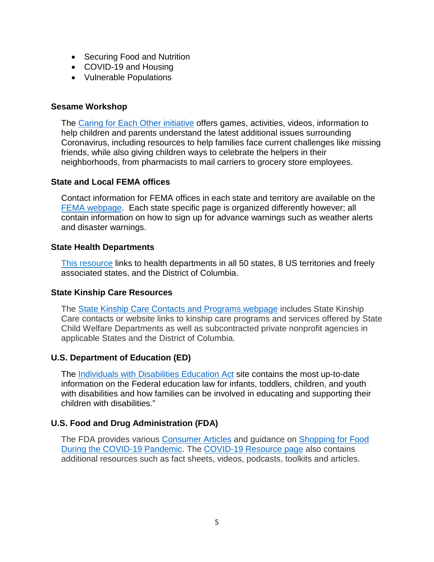- Securing Food and Nutrition
- COVID-19 and Housing
- Vulnerable Populations

### **Sesame Workshop**

The Caring for Each Other initiative offers games, activities, videos, information to help children and parents understand the latest additional issues surrounding Coronavirus, including resources to help families face current challenges like missing friends, while also giving children ways to celebrate the helpers in their neighborhoods, from pharmacists to mail carriers to grocery store employees.

#### **State and Local FEMA offices**

Contact information for FEMA offices in each state and territory are available on the FEMA webpage. Each state specific page is organized differently however; all contain information on how to sign up for advance warnings such as weather alerts and disaster warnings.

#### **State Health Departments**

This resource links to health departments in all 50 states, 8 US territories and freely associated states, and the District of Columbia.

### **State Kinship Care Resources**

The State Kinship Care Contacts and Programs webpage includes State Kinship Care contacts or website links to kinship care programs and services offered by State Child Welfare Departments as well as subcontracted private nonprofit agencies in applicable States and the District of Columbia.

### **U.S. Department of Education (ED)**

The Individuals with Disabilities Education Act site contains the most up-to-date information on the Federal education law for infants, toddlers, children, and youth with disabilities and how families can be involved in educating and supporting their children with disabilities."

### **U.S. Food and Drug Administration (FDA)**

The FDA provides various Consumer Articles and guidance on Shopping for Food During the COVID-19 Pandemic. The COVID-19 Resource page also contains additional resources such as fact sheets, videos, podcasts, toolkits and articles.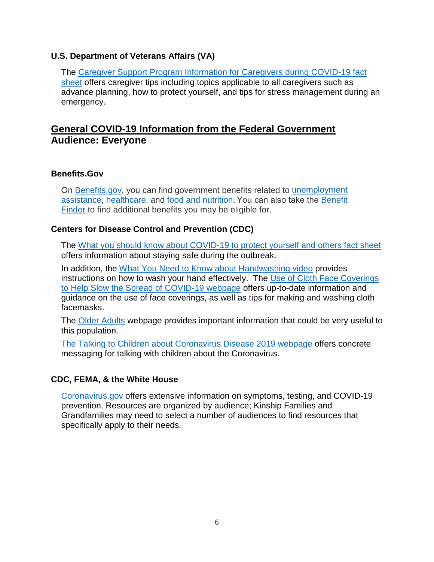### **U.S. Department of Veterans Affairs (VA)**

The Caregiver Support Program Information for Caregivers during COVID-19 fact sheet offers caregiver tips including topics applicable to all caregivers such as advance planning, how to protect yourself, and tips for stress management during an emergency.

# **General COVID-19 Information from the Federal Government Audience: Everyone**

## **Benefits.Gov**

On Benefits.gov, you can find government benefits related to unemployment assistance, healthcare, and food and nutrition. You can also take the Benefit Finder to find additional benefits you may be eligible for.

## **Centers for Disease Control and Prevention (CDC)**

The What you should know about COVID-19 to protect yourself and others fact sheet offers information about staying safe during the outbreak.

In addition, the What You Need to Know about Handwashing video provides instructions on how to wash your hand effectively. The Use of Cloth Face Coverings to Help Slow the Spread of COVID-19 webpage offers up-to-date information and guidance on the use of face coverings, as well as tips for making and washing cloth facemasks.

The Older Adults webpage provides important information that could be very useful to this population.

The Talking to Children about Coronavirus Disease 2019 webpage offers concrete messaging for talking with children about the Coronavirus.

### **CDC, FEMA, & the White House**

Coronavirus.gov offers extensive information on symptoms, testing, and COVID-19 prevention. Resources are organized by audience; Kinship Families and Grandfamilies may need to select a number of audiences to find resources that specifically apply to their needs.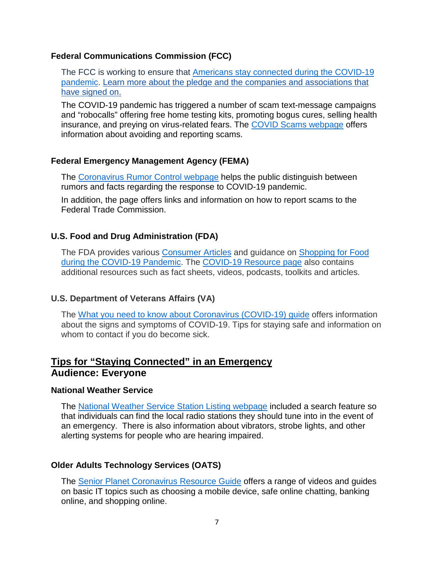## **Federal Communications Commission (FCC)**

The FCC is working to ensure that Americans stay connected during the COVID-19 pandemic. Learn more about the pledge and the companies and associations that have signed on.

The COVID-19 pandemic has triggered a number of scam text-message campaigns and "robocalls" offering free home testing kits, promoting bogus cures, selling health insurance, and preying on virus-related fears. The COVID Scams webpage offers information about avoiding and reporting scams.

# **Federal Emergency Management Agency (FEMA)**

The Coronavirus Rumor Control webpage helps the public distinguish between rumors and facts regarding the response to COVID-19 pandemic.

In addition, the page offers links and information on how to report scams to the Federal Trade Commission.

# **U.S. Food and Drug Administration (FDA)**

The FDA provides various Consumer Articles and guidance on Shopping for Food during the COVID-19 Pandemic. The COVID-19 Resource page also contains additional resources such as fact sheets, videos, podcasts, toolkits and articles.

# **U.S. Department of Veterans Affairs (VA)**

The What you need to know about Coronavirus (COVID-19) guide offers information about the signs and symptoms of COVID-19. Tips for staying safe and information on whom to contact if you do become sick.

# **Tips for "Staying Connected" in an Emergency Audience: Everyone**

# **National Weather Service**

The National Weather Service Station Listing webpage included a search feature so that individuals can find the local radio stations they should tune into in the event of an emergency. There is also information about vibrators, strobe lights, and other alerting systems for people who are hearing impaired.

# **Older Adults Technology Services (OATS)**

The Senior Planet Coronavirus Resource Guide offers a range of videos and guides on basic IT topics such as choosing a mobile device, safe online chatting, banking online, and shopping online.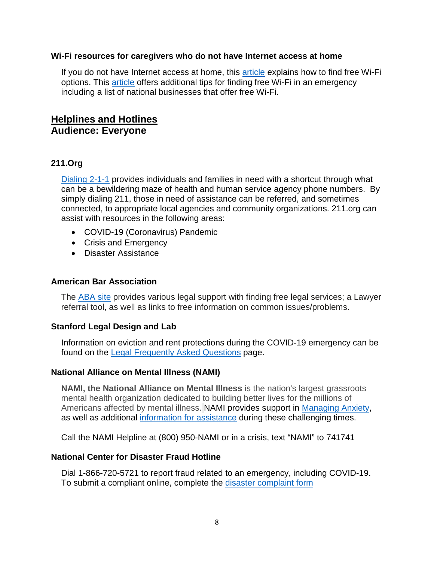#### **Wi-Fi resources for caregivers who do not have Internet access at home**

If you do not have Internet access at home, this article explains how to find free Wi-Fi options. This article offers additional tips for finding free Wi-Fi in an emergency including a list of national businesses that offer free Wi-Fi.

# **Helplines and Hotlines Audience: Everyone**

## **211.Org**

Dialing 2-1-1 provides individuals and families in need with a shortcut through what can be a bewildering maze of health and human service agency phone numbers. By simply dialing 211, those in need of assistance can be referred, and sometimes connected, to appropriate local agencies and community organizations. 211.org can assist with resources in the following areas:

- COVID-19 (Coronavirus) Pandemic
- Crisis and Emergency
- Disaster Assistance

#### **American Bar Association**

The ABA site provides various legal support with finding free legal services; a Lawyer referral tool, as well as links to free information on common issues/problems.

### **Stanford Legal Design and Lab**

Information on eviction and rent protections during the COVID-19 emergency can be found on the Legal Frequently Asked Questions page.

### **National Alliance on Mental Illness (NAMI)**

**NAMI, the National Alliance on Mental Illness** is the nation's largest grassroots mental health organization dedicated to building better lives for the millions of Americans affected by mental illness. NAMI provides support in Managing Anxiety, as well as additional information for assistance during these challenging times.

Call the NAMI Helpline at (800) 950-NAMI or in a crisis, text "NAMI" to 741741

#### **National Center for Disaster Fraud Hotline**

Dial 1-866-720-5721 to report fraud related to an emergency, including COVID-19. To submit a compliant online, complete the disaster complaint form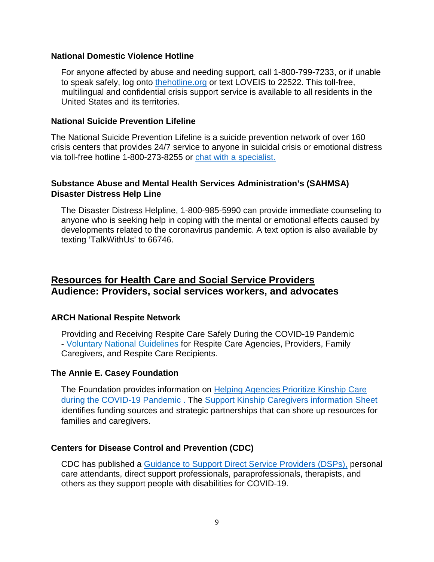#### **National Domestic Violence Hotline**

For anyone affected by abuse and needing support, call 1-800-799-7233, or if unable to speak safely, log onto thehotline.org or text LOVEIS to 22522. This toll-free, multilingual and confidential crisis support service is available to all residents in the United States and its territories.

#### **National Suicide Prevention Lifeline**

The National Suicide Prevention Lifeline is a suicide prevention network of over 160 crisis centers that provides 24/7 service to anyone in suicidal crisis or emotional distress via toll-free hotline 1-800-273-8255 or chat with a specialist.

### **Substance Abuse and Mental Health Services Administration's (SAHMSA) Disaster Distress Help Line**

The Disaster Distress Helpline, 1-800-985-5990 can provide immediate counseling to anyone who is seeking help in coping with the mental or emotional effects caused by developments related to the coronavirus pandemic. A text option is also available by texting 'TalkWithUs' to 66746.

# **Resources for Health Care and Social Service Providers Audience: Providers, social services workers, and advocates**

### **ARCH National Respite Network**

Providing and Receiving Respite Care Safely During the COVID-19 Pandemic - Voluntary National Guidelines for Respite Care Agencies, Providers, Family Caregivers, and Respite Care Recipients.

### **The Annie E. Casey Foundation**

The Foundation provides information on **Helping Agencies Prioritize Kinship Care** during the COVID-19 Pandemic . The Support Kinship Caregivers information Sheet identifies funding sources and strategic partnerships that can shore up resources for families and caregivers.

#### **Centers for Disease Control and Prevention (CDC)**

CDC has published a Guidance to Support Direct Service Providers (DSPs), personal care attendants, direct support professionals, paraprofessionals, therapists, and others as they support people with disabilities for COVID-19.